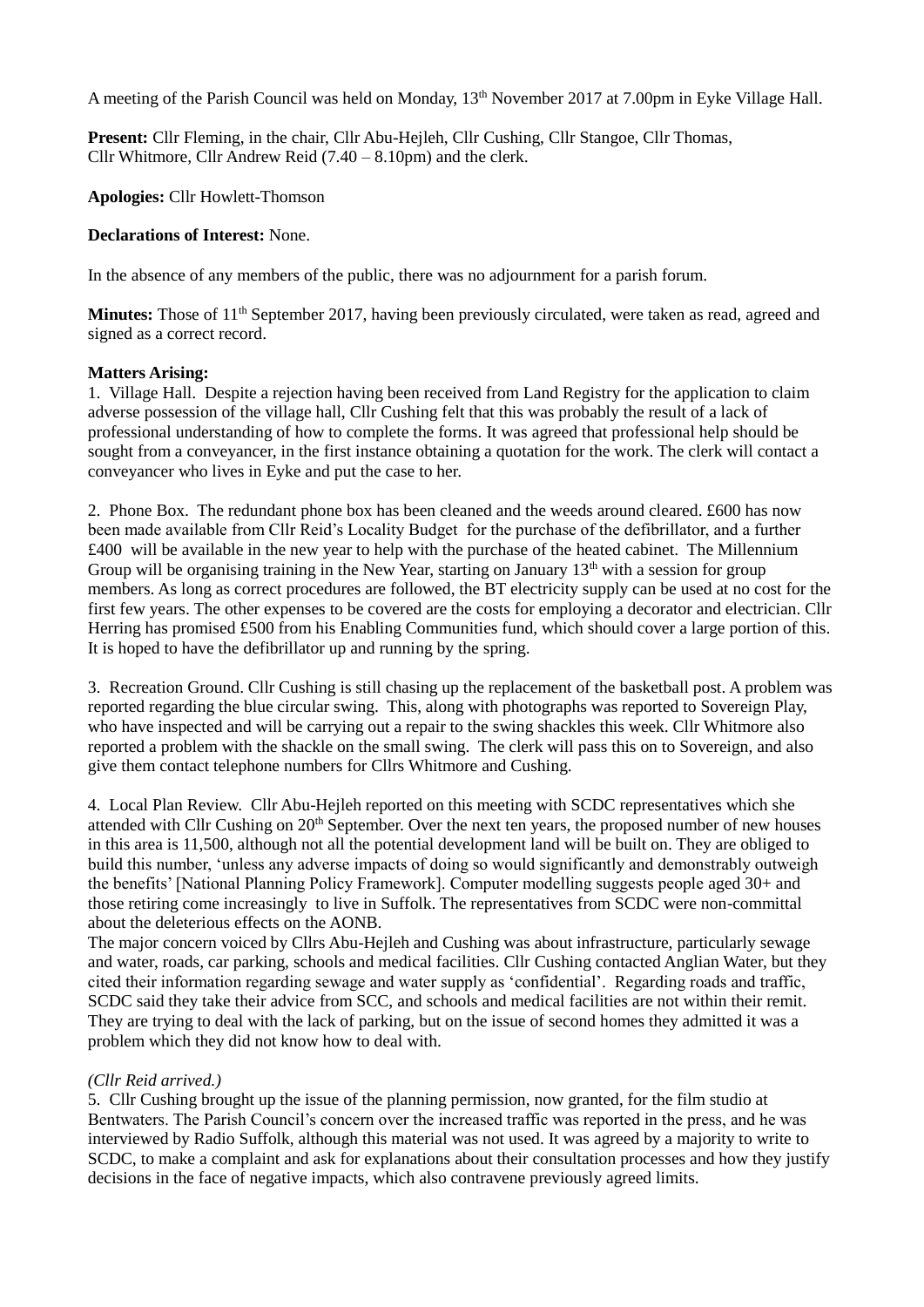A meeting of the Parish Council was held on Monday, 13<sup>th</sup> November 2017 at 7.00pm in Eyke Village Hall.

**Present:** Cllr Fleming, in the chair, Cllr Abu-Hejleh, Cllr Cushing, Cllr Stangoe, Cllr Thomas, Cllr Whitmore, Cllr Andrew Reid (7.40 – 8.10pm) and the clerk.

**Apologies:** Cllr Howlett-Thomson

## **Declarations of Interest:** None.

In the absence of any members of the public, there was no adjournment for a parish forum.

**Minutes:** Those of 11<sup>th</sup> September 2017, having been previously circulated, were taken as read, agreed and signed as a correct record.

# **Matters Arising:**

1. Village Hall. Despite a rejection having been received from Land Registry for the application to claim adverse possession of the village hall, Cllr Cushing felt that this was probably the result of a lack of professional understanding of how to complete the forms. It was agreed that professional help should be sought from a conveyancer, in the first instance obtaining a quotation for the work. The clerk will contact a conveyancer who lives in Eyke and put the case to her.

2. Phone Box. The redundant phone box has been cleaned and the weeds around cleared. £600 has now been made available from Cllr Reid's Locality Budget for the purchase of the defibrillator, and a further £400 will be available in the new year to help with the purchase of the heated cabinet. The Millennium Group will be organising training in the New Year, starting on January  $13<sup>th</sup>$  with a session for group members. As long as correct procedures are followed, the BT electricity supply can be used at no cost for the first few years. The other expenses to be covered are the costs for employing a decorator and electrician. Cllr Herring has promised £500 from his Enabling Communities fund, which should cover a large portion of this. It is hoped to have the defibrillator up and running by the spring.

3. Recreation Ground. Cllr Cushing is still chasing up the replacement of the basketball post. A problem was reported regarding the blue circular swing. This, along with photographs was reported to Sovereign Play, who have inspected and will be carrying out a repair to the swing shackles this week. Cllr Whitmore also reported a problem with the shackle on the small swing. The clerk will pass this on to Sovereign, and also give them contact telephone numbers for Cllrs Whitmore and Cushing.

4. Local Plan Review. Cllr Abu-Hejleh reported on this meeting with SCDC representatives which she attended with Cllr Cushing on 20<sup>th</sup> September. Over the next ten years, the proposed number of new houses in this area is 11,500, although not all the potential development land will be built on. They are obliged to build this number, 'unless any adverse impacts of doing so would significantly and demonstrably outweigh the benefits' [National Planning Policy Framework]. Computer modelling suggests people aged 30+ and those retiring come increasingly to live in Suffolk. The representatives from SCDC were non-committal about the deleterious effects on the AONB.

The major concern voiced by Cllrs Abu-Hejleh and Cushing was about infrastructure, particularly sewage and water, roads, car parking, schools and medical facilities. Cllr Cushing contacted Anglian Water, but they cited their information regarding sewage and water supply as 'confidential'. Regarding roads and traffic, SCDC said they take their advice from SCC, and schools and medical facilities are not within their remit. They are trying to deal with the lack of parking, but on the issue of second homes they admitted it was a problem which they did not know how to deal with.

# *(Cllr Reid arrived.)*

5. Cllr Cushing brought up the issue of the planning permission, now granted, for the film studio at Bentwaters. The Parish Council's concern over the increased traffic was reported in the press, and he was interviewed by Radio Suffolk, although this material was not used. It was agreed by a majority to write to SCDC, to make a complaint and ask for explanations about their consultation processes and how they justify decisions in the face of negative impacts, which also contravene previously agreed limits.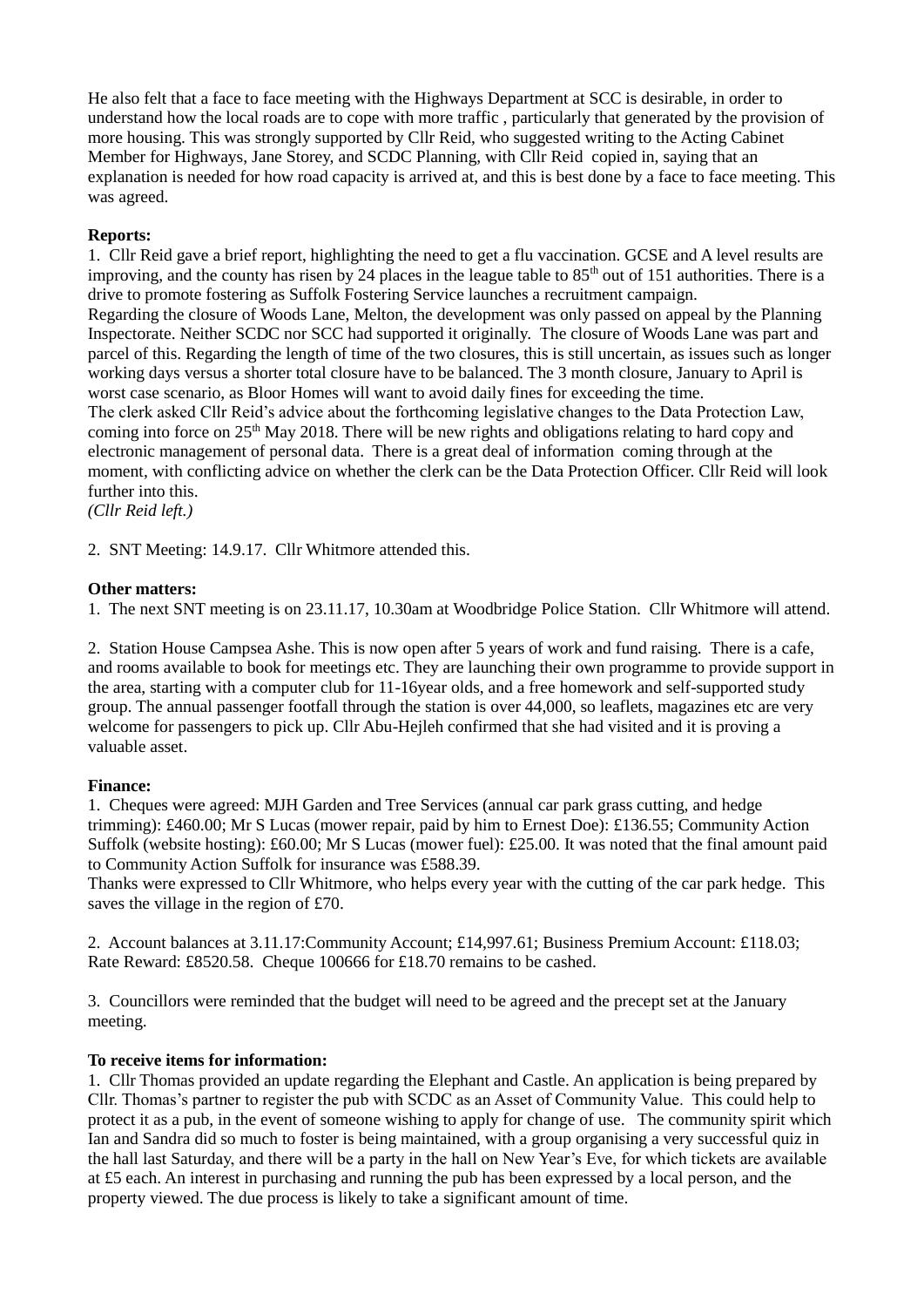He also felt that a face to face meeting with the Highways Department at SCC is desirable, in order to understand how the local roads are to cope with more traffic , particularly that generated by the provision of more housing. This was strongly supported by Cllr Reid, who suggested writing to the Acting Cabinet Member for Highways, Jane Storey, and SCDC Planning, with Cllr Reid copied in, saying that an explanation is needed for how road capacity is arrived at, and this is best done by a face to face meeting. This was agreed.

# **Reports:**

1. Cllr Reid gave a brief report, highlighting the need to get a flu vaccination. GCSE and A level results are improving, and the county has risen by 24 places in the league table to  $85<sup>th</sup>$  out of 151 authorities. There is a drive to promote fostering as Suffolk Fostering Service launches a recruitment campaign. Regarding the closure of Woods Lane, Melton, the development was only passed on appeal by the Planning Inspectorate. Neither SCDC nor SCC had supported it originally. The closure of Woods Lane was part and parcel of this. Regarding the length of time of the two closures, this is still uncertain, as issues such as longer working days versus a shorter total closure have to be balanced. The 3 month closure, January to April is worst case scenario, as Bloor Homes will want to avoid daily fines for exceeding the time. The clerk asked Cllr Reid's advice about the forthcoming legislative changes to the Data Protection Law, coming into force on  $25<sup>th</sup>$  May 2018. There will be new rights and obligations relating to hard copy and electronic management of personal data. There is a great deal of information coming through at the moment, with conflicting advice on whether the clerk can be the Data Protection Officer. Cllr Reid will look further into this.

*(Cllr Reid left.)*

2. SNT Meeting: 14.9.17. Cllr Whitmore attended this.

### **Other matters:**

1. The next SNT meeting is on 23.11.17, 10.30am at Woodbridge Police Station. Cllr Whitmore will attend.

2. Station House Campsea Ashe. This is now open after 5 years of work and fund raising. There is a cafe, and rooms available to book for meetings etc. They are launching their own programme to provide support in the area, starting with a computer club for 11-16year olds, and a free homework and self-supported study group. The annual passenger footfall through the station is over 44,000, so leaflets, magazines etc are very welcome for passengers to pick up. Cllr Abu-Hejleh confirmed that she had visited and it is proving a valuable asset.

#### **Finance:**

1. Cheques were agreed: MJH Garden and Tree Services (annual car park grass cutting, and hedge trimming): £460.00; Mr S Lucas (mower repair, paid by him to Ernest Doe): £136.55; Community Action Suffolk (website hosting): £60.00; Mr S Lucas (mower fuel): £25.00. It was noted that the final amount paid to Community Action Suffolk for insurance was £588.39.

Thanks were expressed to Cllr Whitmore, who helps every year with the cutting of the car park hedge. This saves the village in the region of £70.

2. Account balances at 3.11.17:Community Account; £14,997.61; Business Premium Account: £118.03; Rate Reward: £8520.58. Cheque 100666 for £18.70 remains to be cashed.

3. Councillors were reminded that the budget will need to be agreed and the precept set at the January meeting.

### **To receive items for information:**

1. Cllr Thomas provided an update regarding the Elephant and Castle. An application is being prepared by Cllr. Thomas's partner to register the pub with SCDC as an Asset of Community Value. This could help to protect it as a pub, in the event of someone wishing to apply for change of use. The community spirit which Ian and Sandra did so much to foster is being maintained, with a group organising a very successful quiz in the hall last Saturday, and there will be a party in the hall on New Year's Eve, for which tickets are available at £5 each. An interest in purchasing and running the pub has been expressed by a local person, and the property viewed. The due process is likely to take a significant amount of time.